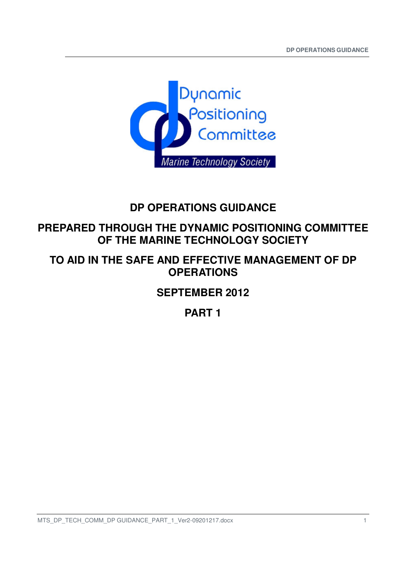

# **DP OPERATIONS GUIDANCE**

# **PREPARED THROUGH THE DYNAMIC POSITIONING COMMITTEE OF THE MARINE TECHNOLOGY SOCIETY**

# **TO AID IN THE SAFE AND EFFECTIVE MANAGEMENT OF DP OPERATIONS**

# **SEPTEMBER 2012**

# **PART 1**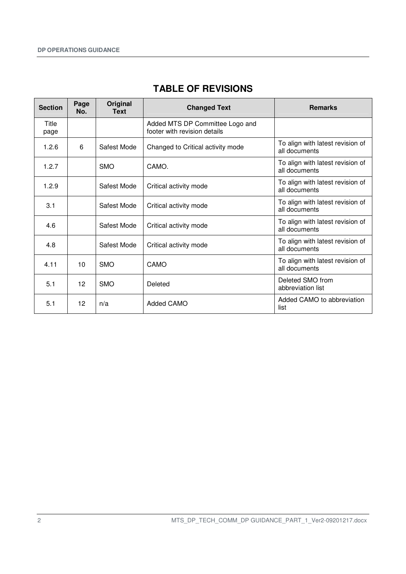| <b>Section</b> | Page<br>No. | Original<br><b>Text</b> | <b>Changed Text</b>                                             | <b>Remarks</b>                                    |
|----------------|-------------|-------------------------|-----------------------------------------------------------------|---------------------------------------------------|
| Title<br>page  |             |                         | Added MTS DP Committee Logo and<br>footer with revision details |                                                   |
| 1.2.6          | 6           | Safest Mode             | Changed to Critical activity mode                               | To align with latest revision of<br>all documents |
| 1.2.7          |             | <b>SMO</b>              | CAMO.                                                           | To align with latest revision of<br>all documents |
| 1.2.9          |             | Safest Mode             | Critical activity mode                                          | To align with latest revision of<br>all documents |
| 3.1            |             | Safest Mode             | Critical activity mode                                          | To align with latest revision of<br>all documents |
| 4.6            |             | Safest Mode             | Critical activity mode                                          | To align with latest revision of<br>all documents |
| 4.8            |             | Safest Mode             | Critical activity mode                                          | To align with latest revision of<br>all documents |
| 4.11           | 10          | <b>SMO</b>              | CAMO                                                            | To align with latest revision of<br>all documents |
| 5.1            | 12          | <b>SMO</b>              | Deleted                                                         | Deleted SMO from<br>abbreviation list             |
| 5.1            | 12          | n/a                     | Added CAMO                                                      | Added CAMO to abbreviation<br>list                |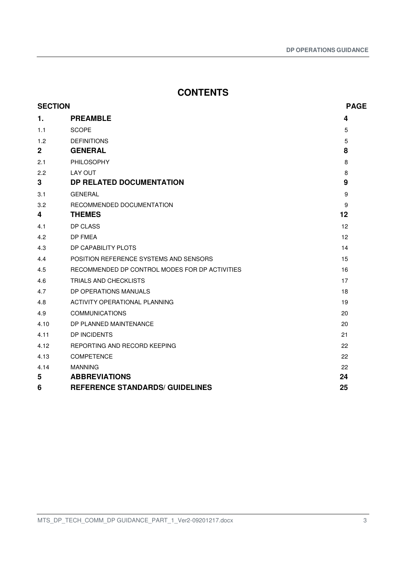## **CONTENTS**

| <b>SECTION</b> |                                                | <b>PAGE</b> |
|----------------|------------------------------------------------|-------------|
| 1.             | <b>PREAMBLE</b>                                | 4           |
| 1.1            | <b>SCOPE</b>                                   | 5           |
| 1.2            | <b>DEFINITIONS</b>                             | 5           |
| $\mathbf{2}$   | <b>GENERAL</b>                                 | 8           |
| 2.1            | PHILOSOPHY                                     | 8           |
| 2.2            | LAY OUT                                        | 8           |
| 3              | DP RELATED DOCUMENTATION                       | 9           |
| 3.1            | <b>GENERAL</b>                                 | 9           |
| 3.2            | RECOMMENDED DOCUMENTATION                      | 9           |
| 4              | <b>THEMES</b>                                  | 12          |
| 4.1            | DP CLASS                                       | 12          |
| 4.2            | <b>DP FMEA</b>                                 | 12          |
| 4.3            | DP CAPABILITY PLOTS                            | 14          |
| 4.4            | POSITION REFERENCE SYSTEMS AND SENSORS         | 15          |
| 4.5            | RECOMMENDED DP CONTROL MODES FOR DP ACTIVITIES | 16          |
| 4.6            | TRIALS AND CHECKLISTS                          | 17          |
| 4.7            | DP OPERATIONS MANUALS                          | 18          |
| 4.8            | ACTIVITY OPERATIONAL PLANNING                  | 19          |
| 4.9            | <b>COMMUNICATIONS</b>                          | 20          |
| 4.10           | DP PLANNED MAINTENANCE                         | 20          |
| 4.11           | DP INCIDENTS                                   | 21          |
| 4.12           | REPORTING AND RECORD KEEPING                   | 22          |
| 4.13           | <b>COMPETENCE</b>                              | 22          |
| 4.14           | <b>MANNING</b>                                 | 22          |
| 5              | <b>ABBREVIATIONS</b>                           | 24          |
| 6              | <b>REFERENCE STANDARDS/ GUIDELINES</b>         | 25          |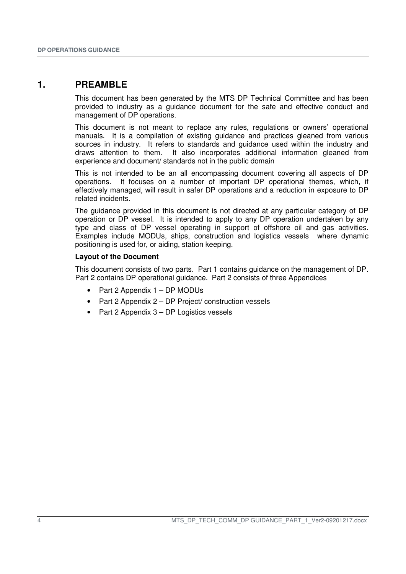## **1. PREAMBLE**

This document has been generated by the MTS DP Technical Committee and has been provided to industry as a guidance document for the safe and effective conduct and management of DP operations.

This document is not meant to replace any rules, regulations or owners' operational manuals. It is a compilation of existing guidance and practices gleaned from various sources in industry. It refers to standards and guidance used within the industry and draws attention to them. It also incorporates additional information gleaned from experience and document/ standards not in the public domain

This is not intended to be an all encompassing document covering all aspects of DP operations. It focuses on a number of important DP operational themes, which, if effectively managed, will result in safer DP operations and a reduction in exposure to DP related incidents.

The guidance provided in this document is not directed at any particular category of DP operation or DP vessel. It is intended to apply to any DP operation undertaken by any type and class of DP vessel operating in support of offshore oil and gas activities. Examples include MODUs, ships, construction and logistics vessels where dynamic positioning is used for, or aiding, station keeping.

#### **Layout of the Document**

This document consists of two parts. Part 1 contains guidance on the management of DP. Part 2 contains DP operational guidance. Part 2 consists of three Appendices

- Part 2 Appendix 1 DP MODUs
- Part 2 Appendix 2 DP Project/ construction vessels
- Part 2 Appendix 3 DP Logistics vessels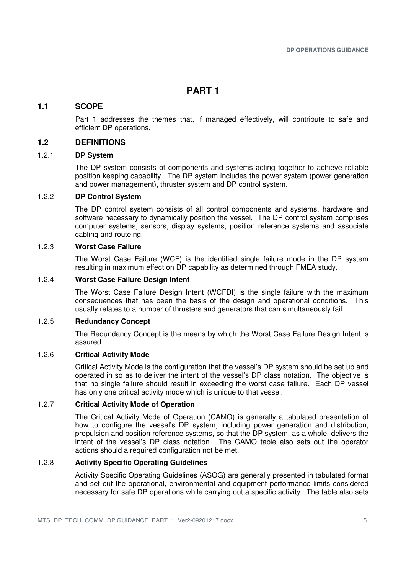## **PART 1**

## **1.1 SCOPE**

Part 1 addresses the themes that, if managed effectively, will contribute to safe and efficient DP operations.

### **1.2 DEFINITIONS**

#### 1.2.1 **DP System**

The DP system consists of components and systems acting together to achieve reliable position keeping capability. The DP system includes the power system (power generation and power management), thruster system and DP control system.

#### 1.2.2 **DP Control System**

The DP control system consists of all control components and systems, hardware and software necessary to dynamically position the vessel. The DP control system comprises computer systems, sensors, display systems, position reference systems and associate cabling and routeing.

#### 1.2.3 **Worst Case Failure**

The Worst Case Failure (WCF) is the identified single failure mode in the DP system resulting in maximum effect on DP capability as determined through FMEA study.

#### 1.2.4 **Worst Case Failure Design Intent**

The Worst Case Failure Design Intent (WCFDI) is the single failure with the maximum consequences that has been the basis of the design and operational conditions. This usually relates to a number of thrusters and generators that can simultaneously fail.

#### 1.2.5 **Redundancy Concept**

The Redundancy Concept is the means by which the Worst Case Failure Design Intent is assured.

#### 1.2.6 **Critical Activity Mode**

Critical Activity Mode is the configuration that the vessel's DP system should be set up and operated in so as to deliver the intent of the vessel's DP class notation. The objective is that no single failure should result in exceeding the worst case failure. Each DP vessel has only one critical activity mode which is unique to that vessel.

### 1.2.7 **Critical Activity Mode of Operation**

The Critical Activity Mode of Operation (CAMO) is generally a tabulated presentation of how to configure the vessel's DP system, including power generation and distribution, propulsion and position reference systems, so that the DP system, as a whole, delivers the intent of the vessel's DP class notation. The CAMO table also sets out the operator actions should a required configuration not be met.

#### 1.2.8 **Activity Specific Operating Guidelines**

Activity Specific Operating Guidelines (ASOG) are generally presented in tabulated format and set out the operational, environmental and equipment performance limits considered necessary for safe DP operations while carrying out a specific activity. The table also sets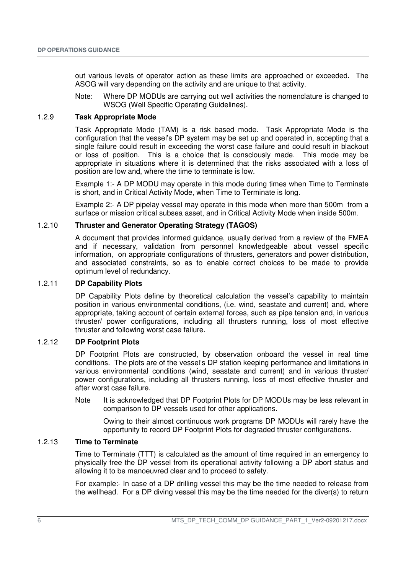out various levels of operator action as these limits are approached or exceeded. The ASOG will vary depending on the activity and are unique to that activity.

Note: Where DP MODUs are carrying out well activities the nomenclature is changed to WSOG (Well Specific Operating Guidelines).

#### 1.2.9 **Task Appropriate Mode**

Task Appropriate Mode (TAM) is a risk based mode. Task Appropriate Mode is the configuration that the vessel's DP system may be set up and operated in, accepting that a single failure could result in exceeding the worst case failure and could result in blackout or loss of position. This is a choice that is consciously made. This mode may be appropriate in situations where it is determined that the risks associated with a loss of position are low and, where the time to terminate is low.

Example 1:- A DP MODU may operate in this mode during times when Time to Terminate is short, and in Critical Activity Mode, when Time to Terminate is long.

Example 2:- A DP pipelay vessel may operate in this mode when more than 500m from a surface or mission critical subsea asset, and in Critical Activity Mode when inside 500m.

#### 1.2.10 **Thruster and Generator Operating Strategy (TAGOS)**

A document that provides informed guidance, usually derived from a review of the FMEA and if necessary, validation from personnel knowledgeable about vessel specific information, on appropriate configurations of thrusters, generators and power distribution, and associated constraints, so as to enable correct choices to be made to provide optimum level of redundancy.

#### 1.2.11 **DP Capability Plots**

DP Capability Plots define by theoretical calculation the vessel's capability to maintain position in various environmental conditions, (i.e. wind, seastate and current) and, where appropriate, taking account of certain external forces, such as pipe tension and, in various thruster/ power configurations, including all thrusters running, loss of most effective thruster and following worst case failure.

## 1.2.12 **DP Footprint Plots**

DP Footprint Plots are constructed, by observation onboard the vessel in real time conditions. The plots are of the vessel's DP station keeping performance and limitations in various environmental conditions (wind, seastate and current) and in various thruster/ power configurations, including all thrusters running, loss of most effective thruster and after worst case failure.

Note It is acknowledged that DP Footprint Plots for DP MODUs may be less relevant in comparison to DP vessels used for other applications.

Owing to their almost continuous work programs DP MODUs will rarely have the opportunity to record DP Footprint Plots for degraded thruster configurations.

#### 1.2.13 **Time to Terminate**

Time to Terminate (TTT) is calculated as the amount of time required in an emergency to physically free the DP vessel from its operational activity following a DP abort status and allowing it to be manoeuvred clear and to proceed to safety.

For example:- In case of a DP drilling vessel this may be the time needed to release from the wellhead. For a DP diving vessel this may be the time needed for the diver(s) to return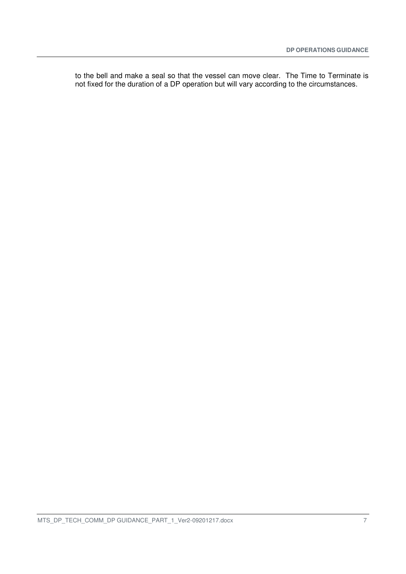to the bell and make a seal so that the vessel can move clear. The Time to Terminate is not fixed for the duration of a DP operation but will vary according to the circumstances.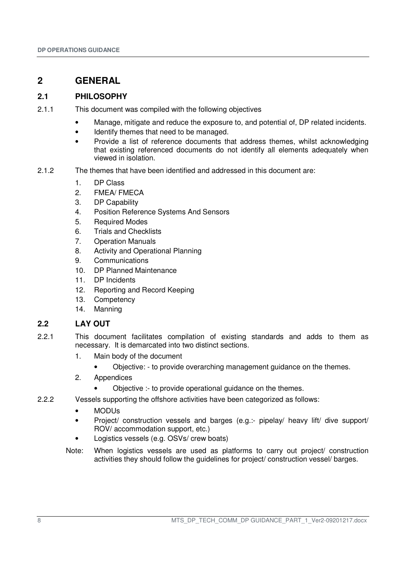## **2 GENERAL**

## **2.1 PHILOSOPHY**

- 2.1.1 This document was compiled with the following objectives
	- Manage, mitigate and reduce the exposure to, and potential of, DP related incidents.
	- Identify themes that need to be managed.
	- Provide a list of reference documents that address themes, whilst acknowledging that existing referenced documents do not identify all elements adequately when viewed in isolation.
- 2.1.2 The themes that have been identified and addressed in this document are:
	- 1. DP Class
	- 2. FMEA/ FMECA
	- 3. DP Capability
	- 4. Position Reference Systems And Sensors
	- 5. Required Modes
	- 6. Trials and Checklists
	- 7. Operation Manuals
	- 8. Activity and Operational Planning
	- 9. Communications
	- 10. DP Planned Maintenance
	- 11. DP Incidents
	- 12. Reporting and Record Keeping
	- 13. Competency
	- 14. Manning

## **2.2 LAY OUT**

- 2.2.1 This document facilitates compilation of existing standards and adds to them as necessary. It is demarcated into two distinct sections.
	- 1. Main body of the document
		- Objective: to provide overarching management guidance on the themes.
	- 2. Appendices
		- Objective :- to provide operational guidance on the themes.
- 2.2.2 Vessels supporting the offshore activities have been categorized as follows:
	- MODUs
	- Project/ construction vessels and barges (e.g.:- pipelay/ heavy lift/ dive support/ ROV/ accommodation support, etc.)
	- Logistics vessels (e.g. OSVs/ crew boats)
	- Note: When logistics vessels are used as platforms to carry out project/ construction activities they should follow the guidelines for project/ construction vessel/ barges.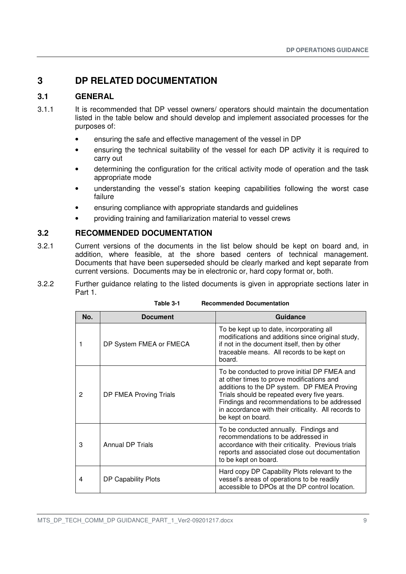## **3 DP RELATED DOCUMENTATION**

## **3.1 GENERAL**

- 3.1.1 It is recommended that DP vessel owners/ operators should maintain the documentation listed in the table below and should develop and implement associated processes for the purposes of:
	- ensuring the safe and effective management of the vessel in DP
	- ensuring the technical suitability of the vessel for each DP activity it is required to carry out
	- determining the configuration for the critical activity mode of operation and the task appropriate mode
	- understanding the vessel's station keeping capabilities following the worst case failure
	- ensuring compliance with appropriate standards and guidelines
	- providing training and familiarization material to vessel crews

## **3.2 RECOMMENDED DOCUMENTATION**

- 3.2.1 Current versions of the documents in the list below should be kept on board and, in addition, where feasible, at the shore based centers of technical management. Documents that have been superseded should be clearly marked and kept separate from current versions. Documents may be in electronic or, hard copy format or, both.
- 3.2.2 Further guidance relating to the listed documents is given in appropriate sections later in Part 1.

| No. | <b>Document</b>         | Guidance                                                                                                                                                                                                                                                                                                             |
|-----|-------------------------|----------------------------------------------------------------------------------------------------------------------------------------------------------------------------------------------------------------------------------------------------------------------------------------------------------------------|
|     | DP System FMEA or FMECA | To be kept up to date, incorporating all<br>modifications and additions since original study,<br>if not in the document itself, then by other<br>traceable means. All records to be kept on<br>board.                                                                                                                |
| 2   | DP FMEA Proving Trials  | To be conducted to prove initial DP FMEA and<br>at other times to prove modifications and<br>additions to the DP system. DP FMEA Proving<br>Trials should be repeated every five years.<br>Findings and recommendations to be addressed<br>in accordance with their criticality. All records to<br>be kept on board. |
| 3   | <b>Annual DP Trials</b> | To be conducted annually. Findings and<br>recommendations to be addressed in<br>accordance with their criticality. Previous trials<br>reports and associated close out documentation<br>to be kept on board.                                                                                                         |
| 4   | DP Capability Plots     | Hard copy DP Capability Plots relevant to the<br>vessel's areas of operations to be readily<br>accessible to DPOs at the DP control location.                                                                                                                                                                        |

**Table 3-1 Recommended Documentation**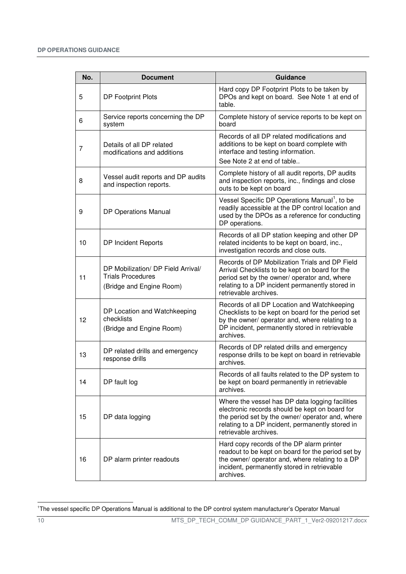| No. | <b>Document</b>                                                                            | <b>Guidance</b>                                                                                                                                                                                                                    |  |
|-----|--------------------------------------------------------------------------------------------|------------------------------------------------------------------------------------------------------------------------------------------------------------------------------------------------------------------------------------|--|
| 5   | DP Footprint Plots                                                                         | Hard copy DP Footprint Plots to be taken by<br>DPOs and kept on board. See Note 1 at end of<br>table.                                                                                                                              |  |
| 6   | Service reports concerning the DP<br>system                                                | Complete history of service reports to be kept on<br>board                                                                                                                                                                         |  |
| 7   | Details of all DP related<br>modifications and additions                                   | Records of all DP related modifications and<br>additions to be kept on board complete with<br>interface and testing information.<br>See Note 2 at end of table                                                                     |  |
| 8   | Vessel audit reports and DP audits<br>and inspection reports.                              | Complete history of all audit reports, DP audits<br>and inspection reports, inc., findings and close<br>outs to be kept on board                                                                                                   |  |
| 9   | <b>DP Operations Manual</b>                                                                | Vessel Specific DP Operations Manual <sup>1</sup> , to be<br>readily accessible at the DP control location and<br>used by the DPOs as a reference for conducting<br>DP operations.                                                 |  |
| 10  | DP Incident Reports                                                                        | Records of all DP station keeping and other DP<br>related incidents to be kept on board, inc.,<br>investigation records and close outs.                                                                                            |  |
| 11  | DP Mobilization/ DP Field Arrival/<br><b>Trials Procedures</b><br>(Bridge and Engine Room) | Records of DP Mobilization Trials and DP Field<br>Arrival Checklists to be kept on board for the<br>period set by the owner/ operator and, where<br>relating to a DP incident permanently stored in<br>retrievable archives.       |  |
| 12  | DP Location and Watchkeeping<br>checklists<br>(Bridge and Engine Room)                     | Records of all DP Location and Watchkeeping<br>Checklists to be kept on board for the period set<br>by the owner/ operator and, where relating to a<br>DP incident, permanently stored in retrievable<br>archives.                 |  |
| 13  | DP related drills and emergency<br>response drills                                         | Records of DP related drills and emergency<br>response drills to be kept on board in retrievable<br>archives.                                                                                                                      |  |
| 14  | DP fault log                                                                               | Records of all faults related to the DP system to<br>be kept on board permanently in retrievable<br>archives.                                                                                                                      |  |
| 15  | DP data logging                                                                            | Where the vessel has DP data logging facilities<br>electronic records should be kept on board for<br>the period set by the owner/ operator and, where<br>relating to a DP incident, permanently stored in<br>retrievable archives. |  |
| 16  | DP alarm printer readouts                                                                  | Hard copy records of the DP alarm printer<br>readout to be kept on board for the period set by<br>the owner/ operator and, where relating to a DP<br>incident, permanently stored in retrievable<br>archives.                      |  |

<sup>1</sup> 1The vessel specific DP Operations Manual is additional to the DP control system manufacturer's Operator Manual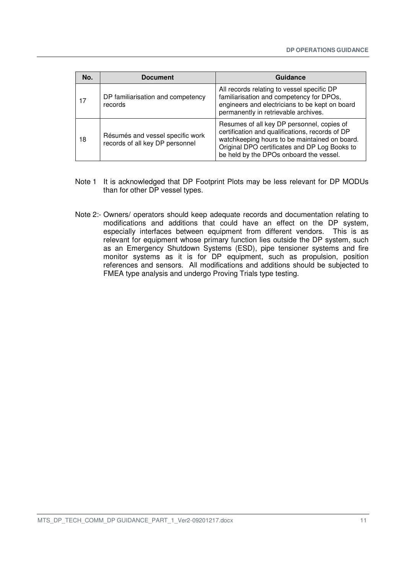| No. | <b>Document</b>                                                     | Guidance                                                                                                                                                                                                                                   |
|-----|---------------------------------------------------------------------|--------------------------------------------------------------------------------------------------------------------------------------------------------------------------------------------------------------------------------------------|
| 17  | DP familiarisation and competency<br>records                        | All records relating to vessel specific DP<br>familiarisation and competency for DPOs,<br>engineers and electricians to be kept on board<br>permanently in retrievable archives.                                                           |
| 18  | Résumés and vessel specific work<br>records of all key DP personnel | Resumes of all key DP personnel, copies of<br>certification and qualifications, records of DP<br>watchkeeping hours to be maintained on board.<br>Original DPO certificates and DP Log Books to<br>be held by the DPOs onboard the vessel. |

- Note 1 It is acknowledged that DP Footprint Plots may be less relevant for DP MODUs than for other DP vessel types.
- Note 2:- Owners/ operators should keep adequate records and documentation relating to modifications and additions that could have an effect on the DP system, especially interfaces between equipment from different vendors. This is as relevant for equipment whose primary function lies outside the DP system, such as an Emergency Shutdown Systems (ESD), pipe tensioner systems and fire monitor systems as it is for DP equipment, such as propulsion, position references and sensors. All modifications and additions should be subjected to FMEA type analysis and undergo Proving Trials type testing.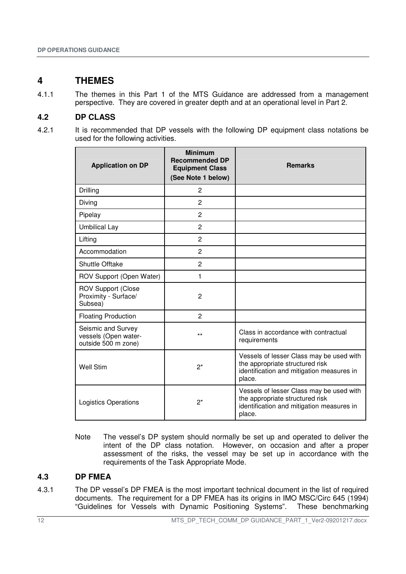## **4 THEMES**

4.1.1 The themes in this Part 1 of the MTS Guidance are addressed from a management perspective. They are covered in greater depth and at an operational level in Part 2.

## **4.2 DP CLASS**

4.2.1 It is recommended that DP vessels with the following DP equipment class notations be used for the following activities.

| <b>Application on DP</b>                                          | <b>Minimum</b><br><b>Recommended DP</b><br><b>Equipment Class</b><br>(See Note 1 below) | <b>Remarks</b>                                                                                                                     |
|-------------------------------------------------------------------|-----------------------------------------------------------------------------------------|------------------------------------------------------------------------------------------------------------------------------------|
| Drilling                                                          | $\overline{c}$                                                                          |                                                                                                                                    |
| Diving                                                            | $\overline{2}$                                                                          |                                                                                                                                    |
| Pipelay                                                           | $\overline{2}$                                                                          |                                                                                                                                    |
| <b>Umbilical Lay</b>                                              | $\overline{c}$                                                                          |                                                                                                                                    |
| Lifting                                                           | $\overline{c}$                                                                          |                                                                                                                                    |
| Accommodation                                                     | $\overline{2}$                                                                          |                                                                                                                                    |
| Shuttle Offtake                                                   | $\overline{c}$                                                                          |                                                                                                                                    |
| ROV Support (Open Water)                                          | 1                                                                                       |                                                                                                                                    |
| <b>ROV Support (Close</b><br>Proximity - Surface/<br>Subsea)      | $\overline{c}$                                                                          |                                                                                                                                    |
| <b>Floating Production</b>                                        | $\overline{c}$                                                                          |                                                                                                                                    |
| Seismic and Survey<br>vessels (Open water-<br>outside 500 m zone) | $***$                                                                                   | Class in accordance with contractual<br>requirements                                                                               |
| <b>Well Stim</b>                                                  | $2^*$                                                                                   | Vessels of lesser Class may be used with<br>the appropriate structured risk<br>identification and mitigation measures in<br>place. |
| <b>Logistics Operations</b>                                       | $2^*$                                                                                   | Vessels of lesser Class may be used with<br>the appropriate structured risk<br>identification and mitigation measures in<br>place. |

Note The vessel's DP system should normally be set up and operated to deliver the intent of the DP class notation. However, on occasion and after a proper assessment of the risks, the vessel may be set up in accordance with the requirements of the Task Appropriate Mode.

## **4.3 DP FMEA**

4.3.1 The DP vessel's DP FMEA is the most important technical document in the list of required documents. The requirement for a DP FMEA has its origins in IMO MSC/Circ 645 (1994) "Guidelines for Vessels with Dynamic Positioning Systems". These benchmarking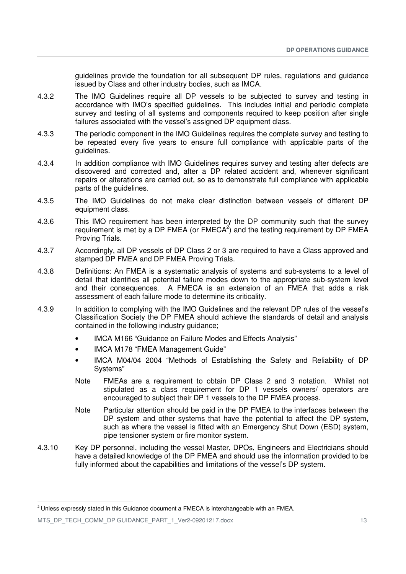guidelines provide the foundation for all subsequent DP rules, regulations and guidance issued by Class and other industry bodies, such as IMCA.

- 4.3.2 The IMO Guidelines require all DP vessels to be subjected to survey and testing in accordance with IMO's specified guidelines. This includes initial and periodic complete survey and testing of all systems and components required to keep position after single failures associated with the vessel's assigned DP equipment class.
- 4.3.3 The periodic component in the IMO Guidelines requires the complete survey and testing to be repeated every five years to ensure full compliance with applicable parts of the guidelines.
- 4.3.4 In addition compliance with IMO Guidelines requires survey and testing after defects are discovered and corrected and, after a DP related accident and, whenever significant repairs or alterations are carried out, so as to demonstrate full compliance with applicable parts of the guidelines.
- 4.3.5 The IMO Guidelines do not make clear distinction between vessels of different DP equipment class.
- 4.3.6 This IMO requirement has been interpreted by the DP community such that the survey requirement is met by a DP FMEA (or  $\mathsf{FMECA}^2$ ) and the testing requirement by DP FMEA Proving Trials.
- 4.3.7 Accordingly, all DP vessels of DP Class 2 or 3 are required to have a Class approved and stamped DP FMEA and DP FMEA Proving Trials.
- 4.3.8 Definitions: An FMEA is a systematic analysis of systems and sub-systems to a level of detail that identifies all potential failure modes down to the appropriate sub-system level and their consequences. A FMECA is an extension of an FMEA that adds a risk assessment of each failure mode to determine its criticality.
- 4.3.9 In addition to complying with the IMO Guidelines and the relevant DP rules of the vessel's Classification Society the DP FMEA should achieve the standards of detail and analysis contained in the following industry guidance;
	- IMCA M166 "Guidance on Failure Modes and Effects Analysis"
	- IMCA M178 "FMEA Management Guide"
	- IMCA M04/04 2004 "Methods of Establishing the Safety and Reliability of DP Systems"
	- Note FMEAs are a requirement to obtain DP Class 2 and 3 notation. Whilst not stipulated as a class requirement for DP 1 vessels owners/ operators are encouraged to subject their DP 1 vessels to the DP FMEA process.
	- Note Particular attention should be paid in the DP FMEA to the interfaces between the DP system and other systems that have the potential to affect the DP system, such as where the vessel is fitted with an Emergency Shut Down (ESD) system, pipe tensioner system or fire monitor system.
- 4.3.10 Key DP personnel, including the vessel Master, DPOs, Engineers and Electricians should have a detailed knowledge of the DP FMEA and should use the information provided to be fully informed about the capabilities and limitations of the vessel's DP system.

<sup>-</sup><sup>2</sup> Unless expressly stated in this Guidance document a FMECA is interchangeable with an FMEA.

MTS\_DP\_TECH\_COMM\_DP GUIDANCE\_PART\_1\_Ver2-09201217.docx 13 13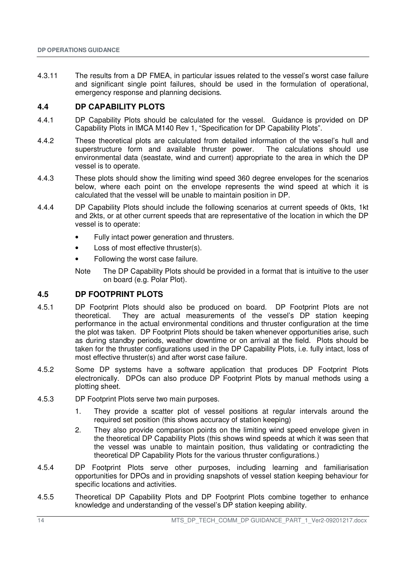4.3.11 The results from a DP FMEA, in particular issues related to the vessel's worst case failure and significant single point failures, should be used in the formulation of operational, emergency response and planning decisions.

## **4.4 DP CAPABILITY PLOTS**

- 4.4.1 DP Capability Plots should be calculated for the vessel. Guidance is provided on DP Capability Plots in IMCA M140 Rev 1, "Specification for DP Capability Plots".
- 4.4.2 These theoretical plots are calculated from detailed information of the vessel's hull and superstructure form and available thruster power. The calculations should use environmental data (seastate, wind and current) appropriate to the area in which the DP vessel is to operate.
- 4.4.3 These plots should show the limiting wind speed 360 degree envelopes for the scenarios below, where each point on the envelope represents the wind speed at which it is calculated that the vessel will be unable to maintain position in DP.
- 4.4.4 DP Capability Plots should include the following scenarios at current speeds of 0kts, 1kt and 2kts, or at other current speeds that are representative of the location in which the DP vessel is to operate:
	- Fully intact power generation and thrusters.
	- Loss of most effective thruster(s).
	- Following the worst case failure.
	- Note The DP Capability Plots should be provided in a format that is intuitive to the user on board (e.g. Polar Plot).

#### **4.5 DP FOOTPRINT PLOTS**

- 4.5.1 DP Footprint Plots should also be produced on board. DP Footprint Plots are not theoretical. They are actual measurements of the vessel's DP station keeping performance in the actual environmental conditions and thruster configuration at the time the plot was taken. DP Footprint Plots should be taken whenever opportunities arise, such as during standby periods, weather downtime or on arrival at the field. Plots should be taken for the thruster configurations used in the DP Capability Plots, i.e. fully intact, loss of most effective thruster(s) and after worst case failure.
- 4.5.2 Some DP systems have a software application that produces DP Footprint Plots electronically. DPOs can also produce DP Footprint Plots by manual methods using a plotting sheet.
- 4.5.3 DP Footprint Plots serve two main purposes.
	- 1. They provide a scatter plot of vessel positions at regular intervals around the required set position (this shows accuracy of station keeping)
	- 2. They also provide comparison points on the limiting wind speed envelope given in the theoretical DP Capability Plots (this shows wind speeds at which it was seen that the vessel was unable to maintain position, thus validating or contradicting the theoretical DP Capability Plots for the various thruster configurations.)
- 4.5.4 DP Footprint Plots serve other purposes, including learning and familiarisation opportunities for DPOs and in providing snapshots of vessel station keeping behaviour for specific locations and activities.
- 4.5.5 Theoretical DP Capability Plots and DP Footprint Plots combine together to enhance knowledge and understanding of the vessel's DP station keeping ability.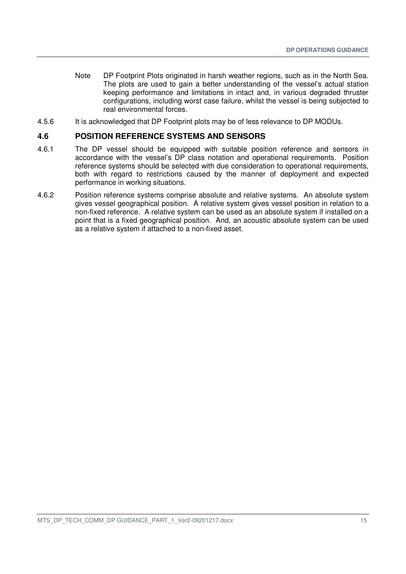- Note DP Footprint Plots originated in harsh weather regions, such as in the North Sea. The plots are used to gain a better understanding of the vessel's actual station keeping performance and limitations in intact and, in various degraded thruster configurations, including worst case failure, whilst the vessel is being subjected to real environmental forces.
- 4.5.6 It is acknowledged that DP Footprint plots may be of less relevance to DP MODUs.

### **4.6 POSITION REFERENCE SYSTEMS AND SENSORS**

- 4.6.1 The DP vessel should be equipped with suitable position reference and sensors in accordance with the vessel's DP class notation and operational requirements. Position reference systems should be selected with due consideration to operational requirements, both with regard to restrictions caused by the manner of deployment and expected performance in working situations.
- 4.6.2 Position reference systems comprise absolute and relative systems. An absolute system gives vessel geographical position. A relative system gives vessel position in relation to a non-fixed reference. A relative system can be used as an absolute system if installed on a point that is a fixed geographical position. And, an acoustic absolute system can be used as a relative system if attached to a non-fixed asset.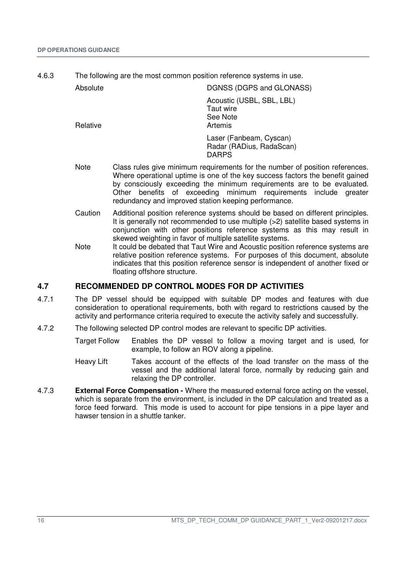4.6.3 The following are the most common position reference systems in use.

| Absolute | DGNSS (DGPS and GLONASS)                                            |  |
|----------|---------------------------------------------------------------------|--|
| Relative | Acoustic (USBL, SBL, LBL)<br>Taut wire<br>See Note<br>Artemis       |  |
|          | Laser (Fanbeam, Cyscan)<br>Radar (RADius, RadaScan)<br><b>DARPS</b> |  |

- Note Class rules give minimum requirements for the number of position references. Where operational uptime is one of the key success factors the benefit gained by consciously exceeding the minimum requirements are to be evaluated. Other benefits of exceeding minimum requirements include greater redundancy and improved station keeping performance.
- Caution Additional position reference systems should be based on different principles. It is generally not recommended to use multiple (>2) satellite based systems in conjunction with other positions reference systems as this may result in skewed weighting in favor of multiple satellite systems.
- Note It could be debated that Taut Wire and Acoustic position reference systems are relative position reference systems. For purposes of this document, absolute indicates that this position reference sensor is independent of another fixed or floating offshore structure.

## **4.7 RECOMMENDED DP CONTROL MODES FOR DP ACTIVITIES**

- 4.7.1 The DP vessel should be equipped with suitable DP modes and features with due consideration to operational requirements, both with regard to restrictions caused by the activity and performance criteria required to execute the activity safely and successfully.
- 4.7.2 The following selected DP control modes are relevant to specific DP activities.

Target Follow Enables the DP vessel to follow a moving target and is used, for example, to follow an ROV along a pipeline.

- Heavy Lift Takes account of the effects of the load transfer on the mass of the vessel and the additional lateral force, normally by reducing gain and relaxing the DP controller.
- 4.7.3 **External Force Compensation** Where the measured external force acting on the vessel, which is separate from the environment, is included in the DP calculation and treated as a force feed forward. This mode is used to account for pipe tensions in a pipe layer and hawser tension in a shuttle tanker.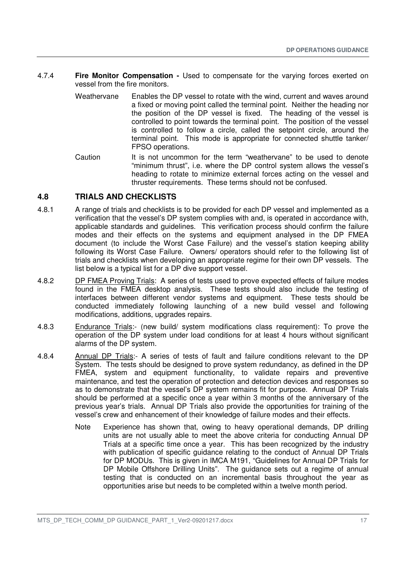- 4.7.4 **Fire Monitor Compensation** Used to compensate for the varying forces exerted on vessel from the fire monitors.
	- Weathervane Enables the DP vessel to rotate with the wind, current and waves around a fixed or moving point called the terminal point. Neither the heading nor the position of the DP vessel is fixed. The heading of the vessel is controlled to point towards the terminal point. The position of the vessel is controlled to follow a circle, called the setpoint circle, around the terminal point. This mode is appropriate for connected shuttle tanker/ FPSO operations.
	- Caution It is not uncommon for the term "weathervane" to be used to denote "minimum thrust", i.e. where the DP control system allows the vessel's heading to rotate to minimize external forces acting on the vessel and thruster requirements. These terms should not be confused.

### **4.8 TRIALS AND CHECKLISTS**

- 4.8.1 A range of trials and checklists is to be provided for each DP vessel and implemented as a verification that the vessel's DP system complies with and, is operated in accordance with, applicable standards and guidelines. This verification process should confirm the failure modes and their effects on the systems and equipment analysed in the DP FMEA document (to include the Worst Case Failure) and the vessel's station keeping ability following its Worst Case Failure. Owners/ operators should refer to the following list of trials and checklists when developing an appropriate regime for their own DP vessels. The list below is a typical list for a DP dive support vessel.
- 4.8.2 DP FMEA Proving Trials: A series of tests used to prove expected effects of failure modes found in the FMEA desktop analysis. These tests should also include the testing of interfaces between different vendor systems and equipment. These tests should be conducted immediately following launching of a new build vessel and following modifications, additions, upgrades repairs.
- 4.8.3 Endurance Trials:- (new build/ system modifications class requirement): To prove the operation of the DP system under load conditions for at least 4 hours without significant alarms of the DP system.
- 4.8.4 Annual DP Trials:- A series of tests of fault and failure conditions relevant to the DP System. The tests should be designed to prove system redundancy, as defined in the DP FMEA, system and equipment functionality, to validate repairs and preventive maintenance, and test the operation of protection and detection devices and responses so as to demonstrate that the vessel's DP system remains fit for purpose. Annual DP Trials should be performed at a specific once a year within 3 months of the anniversary of the previous year's trials. Annual DP Trials also provide the opportunities for training of the vessel's crew and enhancement of their knowledge of failure modes and their effects.
	- Note Experience has shown that, owing to heavy operational demands, DP drilling units are not usually able to meet the above criteria for conducting Annual DP Trials at a specific time once a year. This has been recognized by the industry with publication of specific guidance relating to the conduct of Annual DP Trials for DP MODUs. This is given in IMCA M191, "Guidelines for Annual DP Trials for DP Mobile Offshore Drilling Units". The guidance sets out a regime of annual testing that is conducted on an incremental basis throughout the year as opportunities arise but needs to be completed within a twelve month period.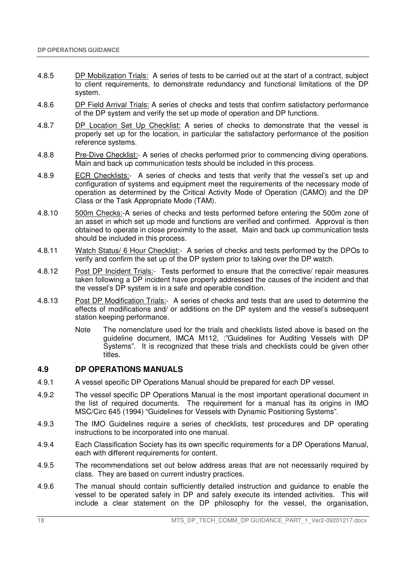- 4.8.5 DP Mobilization Trials: A series of tests to be carried out at the start of a contract, subject to client requirements, to demonstrate redundancy and functional limitations of the DP system.
- 4.8.6 DP Field Arrival Trials: A series of checks and tests that confirm satisfactory performance of the DP system and verify the set up mode of operation and DP functions.
- 4.8.7 DP Location Set Up Checklist: A series of checks to demonstrate that the vessel is properly set up for the location, in particular the satisfactory performance of the position reference systems.
- 4.8.8 Pre-Dive Checklist:- A series of checks performed prior to commencing diving operations. Main and back up communication tests should be included in this process.
- 4.8.9 ECR Checklists:- A series of checks and tests that verify that the vessel's set up and configuration of systems and equipment meet the requirements of the necessary mode of operation as determined by the Critical Activity Mode of Operation (CAMO) and the DP Class or the Task Appropriate Mode (TAM).
- 4.8.10 500m Checks:-A series of checks and tests performed before entering the 500m zone of an asset in which set up mode and functions are verified and confirmed. Approval is then obtained to operate in close proximity to the asset. Main and back up communication tests should be included in this process.
- 4.8.11 Watch Status/ 6 Hour Checklist:- A series of checks and tests performed by the DPOs to verify and confirm the set up of the DP system prior to taking over the DP watch.
- 4.8.12 Post DP Incident Trials:- Tests performed to ensure that the corrective/ repair measures taken following a DP incident have properly addressed the causes of the incident and that the vessel's DP system is in a safe and operable condition.
- 4.8.13 Post DP Modification Trials:- A series of checks and tests that are used to determine the effects of modifications and/ or additions on the DP system and the vessel's subsequent station keeping performance.
	- Note The nomenclature used for the trials and checklists listed above is based on the guideline document, IMCA M112, :"Guidelines for Auditing Vessels with DP Systems". It is recognized that these trials and checklists could be given other titles.

## **4.9 DP OPERATIONS MANUALS**

- 4.9.1 A vessel specific DP Operations Manual should be prepared for each DP vessel.
- 4.9.2 The vessel specific DP Operations Manual is the most important operational document in the list of required documents. The requirement for a manual has its origins in IMO MSC/Circ 645 (1994) "Guidelines for Vessels with Dynamic Positioning Systems".
- 4.9.3 The IMO Guidelines require a series of checklists, test procedures and DP operating instructions to be incorporated into one manual.
- 4.9.4 Each Classification Society has its own specific requirements for a DP Operations Manual, each with different requirements for content.
- 4.9.5 The recommendations set out below address areas that are not necessarily required by class. They are based on current industry practices.
- 4.9.6 The manual should contain sufficiently detailed instruction and guidance to enable the vessel to be operated safely in DP and safely execute its intended activities. This will include a clear statement on the DP philosophy for the vessel, the organisation,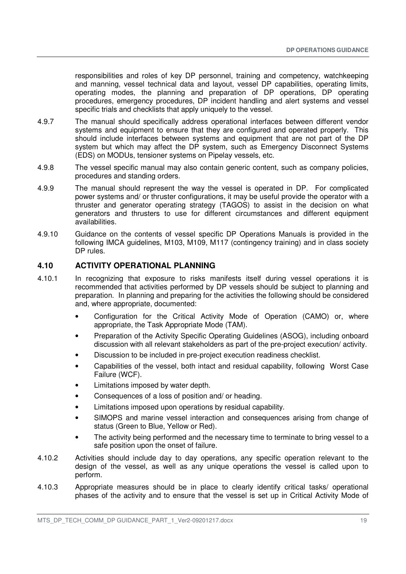responsibilities and roles of key DP personnel, training and competency, watchkeeping and manning, vessel technical data and layout, vessel DP capabilities, operating limits, operating modes, the planning and preparation of DP operations, DP operating procedures, emergency procedures, DP incident handling and alert systems and vessel specific trials and checklists that apply uniquely to the vessel.

- 4.9.7 The manual should specifically address operational interfaces between different vendor systems and equipment to ensure that they are configured and operated properly. This should include interfaces between systems and equipment that are not part of the DP system but which may affect the DP system, such as Emergency Disconnect Systems (EDS) on MODUs, tensioner systems on Pipelay vessels, etc.
- 4.9.8 The vessel specific manual may also contain generic content, such as company policies, procedures and standing orders.
- 4.9.9 The manual should represent the way the vessel is operated in DP. For complicated power systems and/ or thruster configurations, it may be useful provide the operator with a thruster and generator operating strategy (TAGOS) to assist in the decision on what generators and thrusters to use for different circumstances and different equipment availabilities.
- 4.9.10 Guidance on the contents of vessel specific DP Operations Manuals is provided in the following IMCA guidelines, M103, M109, M117 (contingency training) and in class society DP rules.

## **4.10 ACTIVITY OPERATIONAL PLANNING**

- 4.10.1 In recognizing that exposure to risks manifests itself during vessel operations it is recommended that activities performed by DP vessels should be subject to planning and preparation. In planning and preparing for the activities the following should be considered and, where appropriate, documented:
	- Configuration for the Critical Activity Mode of Operation (CAMO) or, where appropriate, the Task Appropriate Mode (TAM).
	- Preparation of the Activity Specific Operating Guidelines (ASOG), including onboard discussion with all relevant stakeholders as part of the pre-project execution/ activity.
	- Discussion to be included in pre-project execution readiness checklist.
	- Capabilities of the vessel, both intact and residual capability, following Worst Case Failure (WCF).
	- Limitations imposed by water depth.
	- Consequences of a loss of position and/ or heading.
	- Limitations imposed upon operations by residual capability.
	- SIMOPS and marine vessel interaction and consequences arising from change of status (Green to Blue, Yellow or Red).
	- The activity being performed and the necessary time to terminate to bring vessel to a safe position upon the onset of failure.
- 4.10.2 Activities should include day to day operations, any specific operation relevant to the design of the vessel, as well as any unique operations the vessel is called upon to perform.
- 4.10.3 Appropriate measures should be in place to clearly identify critical tasks/ operational phases of the activity and to ensure that the vessel is set up in Critical Activity Mode of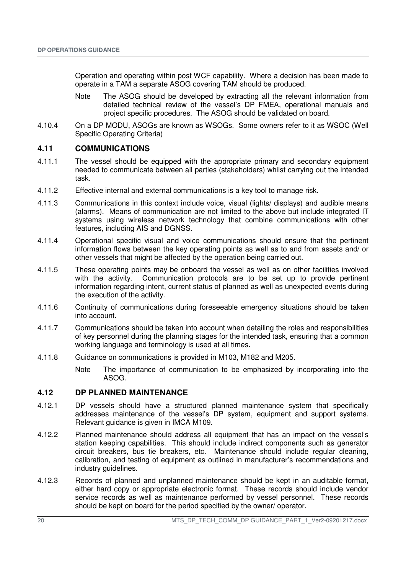Operation and operating within post WCF capability. Where a decision has been made to operate in a TAM a separate ASOG covering TAM should be produced.

- Note The ASOG should be developed by extracting all the relevant information from detailed technical review of the vessel's DP FMEA, operational manuals and project specific procedures. The ASOG should be validated on board.
- 4.10.4 On a DP MODU, ASOGs are known as WSOGs. Some owners refer to it as WSOC (Well Specific Operating Criteria)

### **4.11 COMMUNICATIONS**

- 4.11.1 The vessel should be equipped with the appropriate primary and secondary equipment needed to communicate between all parties (stakeholders) whilst carrying out the intended task.
- 4.11.2 Effective internal and external communications is a key tool to manage risk.
- 4.11.3 Communications in this context include voice, visual (lights/ displays) and audible means (alarms). Means of communication are not limited to the above but include integrated IT systems using wireless network technology that combine communications with other features, including AIS and DGNSS.
- 4.11.4 Operational specific visual and voice communications should ensure that the pertinent information flows between the key operating points as well as to and from assets and/ or other vessels that might be affected by the operation being carried out.
- 4.11.5 These operating points may be onboard the vessel as well as on other facilities involved with the activity. Communication protocols are to be set up to provide pertinent information regarding intent, current status of planned as well as unexpected events during the execution of the activity.
- 4.11.6 Continuity of communications during foreseeable emergency situations should be taken into account.
- 4.11.7 Communications should be taken into account when detailing the roles and responsibilities of key personnel during the planning stages for the intended task, ensuring that a common working language and terminology is used at all times.
- 4.11.8 Guidance on communications is provided in M103, M182 and M205.
	- Note The importance of communication to be emphasized by incorporating into the ASOG.

## **4.12 DP PLANNED MAINTENANCE**

- 4.12.1 DP vessels should have a structured planned maintenance system that specifically addresses maintenance of the vessel's DP system, equipment and support systems. Relevant guidance is given in IMCA M109.
- 4.12.2 Planned maintenance should address all equipment that has an impact on the vessel's station keeping capabilities. This should include indirect components such as generator circuit breakers, bus tie breakers, etc. Maintenance should include regular cleaning, calibration, and testing of equipment as outlined in manufacturer's recommendations and industry guidelines.
- 4.12.3 Records of planned and unplanned maintenance should be kept in an auditable format, either hard copy or appropriate electronic format. These records should include vendor service records as well as maintenance performed by vessel personnel. These records should be kept on board for the period specified by the owner/ operator.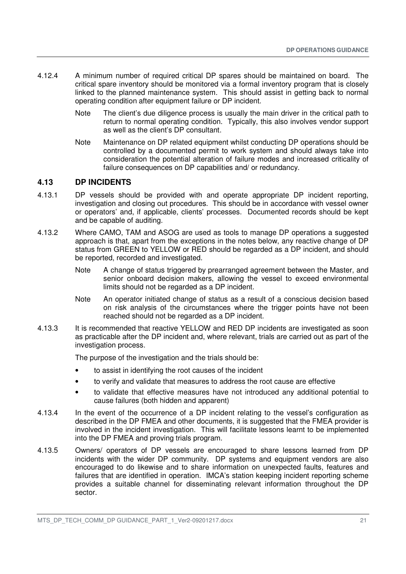- 4.12.4 A minimum number of required critical DP spares should be maintained on board. The critical spare inventory should be monitored via a formal inventory program that is closely linked to the planned maintenance system. This should assist in getting back to normal operating condition after equipment failure or DP incident.
	- Note The client's due diligence process is usually the main driver in the critical path to return to normal operating condition. Typically, this also involves vendor support as well as the client's DP consultant.
	- Note Maintenance on DP related equipment whilst conducting DP operations should be controlled by a documented permit to work system and should always take into consideration the potential alteration of failure modes and increased criticality of failure consequences on DP capabilities and/ or redundancy.

## **4.13 DP INCIDENTS**

- 4.13.1 DP vessels should be provided with and operate appropriate DP incident reporting, investigation and closing out procedures. This should be in accordance with vessel owner or operators' and, if applicable, clients' processes. Documented records should be kept and be capable of auditing.
- 4.13.2 Where CAMO, TAM and ASOG are used as tools to manage DP operations a suggested approach is that, apart from the exceptions in the notes below, any reactive change of DP status from GREEN to YELLOW or RED should be regarded as a DP incident, and should be reported, recorded and investigated.
	- Note A change of status triggered by prearranged agreement between the Master, and senior onboard decision makers, allowing the vessel to exceed environmental limits should not be regarded as a DP incident.
	- Note An operator initiated change of status as a result of a conscious decision based on risk analysis of the circumstances where the trigger points have not been reached should not be regarded as a DP incident.
- 4.13.3 It is recommended that reactive YELLOW and RED DP incidents are investigated as soon as practicable after the DP incident and, where relevant, trials are carried out as part of the investigation process.

The purpose of the investigation and the trials should be:

- to assist in identifying the root causes of the incident
- to verify and validate that measures to address the root cause are effective
- to validate that effective measures have not introduced any additional potential to cause failures (both hidden and apparent)
- 4.13.4 In the event of the occurrence of a DP incident relating to the vessel's configuration as described in the DP FMEA and other documents, it is suggested that the FMEA provider is involved in the incident investigation. This will facilitate lessons learnt to be implemented into the DP FMEA and proving trials program.
- 4.13.5 Owners/ operators of DP vessels are encouraged to share lessons learned from DP incidents with the wider DP community. DP systems and equipment vendors are also encouraged to do likewise and to share information on unexpected faults, features and failures that are identified in operation. IMCA's station keeping incident reporting scheme provides a suitable channel for disseminating relevant information throughout the DP sector.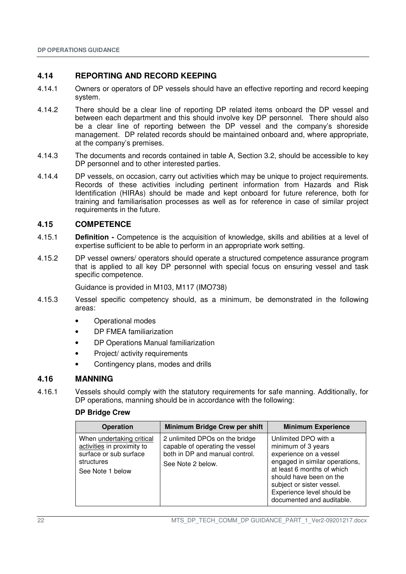## **4.14 REPORTING AND RECORD KEEPING**

- 4.14.1 Owners or operators of DP vessels should have an effective reporting and record keeping system.
- 4.14.2 There should be a clear line of reporting DP related items onboard the DP vessel and between each department and this should involve key DP personnel. There should also be a clear line of reporting between the DP vessel and the company's shoreside management. DP related records should be maintained onboard and, where appropriate, at the company's premises.
- 4.14.3 The documents and records contained in table A, Section 3.2, should be accessible to key DP personnel and to other interested parties.
- 4.14.4 DP vessels, on occasion, carry out activities which may be unique to project requirements. Records of these activities including pertinent information from Hazards and Risk Identification (HIRAs) should be made and kept onboard for future reference, both for training and familiarisation processes as well as for reference in case of similar project requirements in the future.

## **4.15 COMPETENCE**

- 4.15.1 **Definition** Competence is the acquisition of knowledge, skills and abilities at a level of expertise sufficient to be able to perform in an appropriate work setting.
- 4.15.2 DP vessel owners/ operators should operate a structured competence assurance program that is applied to all key DP personnel with special focus on ensuring vessel and task specific competence.

Guidance is provided in M103, M117 (IMO738)

- 4.15.3 Vessel specific competency should, as a minimum, be demonstrated in the following areas:
	- Operational modes
	- DP FMEA familiarization
	- DP Operations Manual familiarization
	- Project/ activity requirements
	- Contingency plans, modes and drills

## **4.16 MANNING**

4.16.1 Vessels should comply with the statutory requirements for safe manning. Additionally, for DP operations, manning should be in accordance with the following:

#### **DP Bridge Crew**

| <b>Operation</b>                                                                                                    | Minimum Bridge Crew per shift                                                                                            | <b>Minimum Experience</b>                                                                                                                                                                                                                               |
|---------------------------------------------------------------------------------------------------------------------|--------------------------------------------------------------------------------------------------------------------------|---------------------------------------------------------------------------------------------------------------------------------------------------------------------------------------------------------------------------------------------------------|
| When undertaking critical<br>activities in proximity to<br>surface or sub surface<br>structures<br>See Note 1 below | 2 unlimited DPOs on the bridge<br>capable of operating the vessel<br>both in DP and manual control.<br>See Note 2 below. | Unlimited DPO with a<br>minimum of 3 years<br>experience on a vessel<br>engaged in similar operations,<br>at least 6 months of which<br>should have been on the<br>subject or sister vessel.<br>Experience level should be<br>documented and auditable. |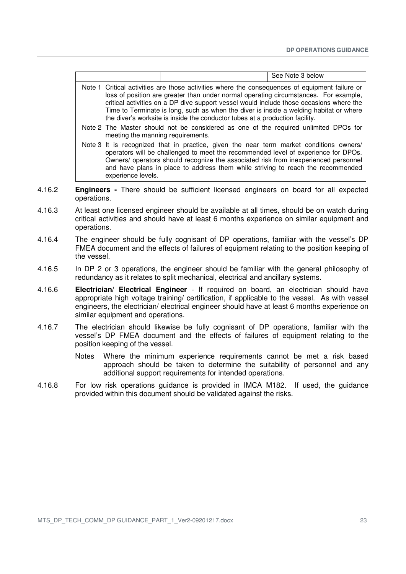|        |                                                                                                                                                                                                                                                                                                                          |                                                                                                                                                                                                                                                                                                                                                                                                                                                             |                                                                                                                                                                                                                                                                                                                                                         | See Note 3 below |
|--------|--------------------------------------------------------------------------------------------------------------------------------------------------------------------------------------------------------------------------------------------------------------------------------------------------------------------------|-------------------------------------------------------------------------------------------------------------------------------------------------------------------------------------------------------------------------------------------------------------------------------------------------------------------------------------------------------------------------------------------------------------------------------------------------------------|---------------------------------------------------------------------------------------------------------------------------------------------------------------------------------------------------------------------------------------------------------------------------------------------------------------------------------------------------------|------------------|
|        |                                                                                                                                                                                                                                                                                                                          | Note 1 Critical activities are those activities where the consequences of equipment failure or<br>loss of position are greater than under normal operating circumstances. For example,<br>critical activities on a DP dive support vessel would include those occasions where the<br>Time to Terminate is long, such as when the diver is inside a welding habitat or where<br>the diver's worksite is inside the conductor tubes at a production facility. |                                                                                                                                                                                                                                                                                                                                                         |                  |
|        |                                                                                                                                                                                                                                                                                                                          | meeting the manning requirements.                                                                                                                                                                                                                                                                                                                                                                                                                           | Note 2 The Master should not be considered as one of the required unlimited DPOs for                                                                                                                                                                                                                                                                    |                  |
|        |                                                                                                                                                                                                                                                                                                                          | experience levels.                                                                                                                                                                                                                                                                                                                                                                                                                                          | Note 3 It is recognized that in practice, given the near term market conditions owners/<br>operators will be challenged to meet the recommended level of experience for DPOs.<br>Owners/ operators should recognize the associated risk from inexperienced personnel<br>and have plans in place to address them while striving to reach the recommended |                  |
| 4.16.2 | <b>Engineers</b> - There should be sufficient licensed engineers on board for all expected<br>operations.                                                                                                                                                                                                                |                                                                                                                                                                                                                                                                                                                                                                                                                                                             |                                                                                                                                                                                                                                                                                                                                                         |                  |
| 4.16.3 | At least one licensed engineer should be available at all times, should be on watch during<br>critical activities and should have at least 6 months experience on similar equipment and<br>operations.                                                                                                                   |                                                                                                                                                                                                                                                                                                                                                                                                                                                             |                                                                                                                                                                                                                                                                                                                                                         |                  |
| 4.16.4 | The engineer should be fully cognisant of DP operations, familiar with the vessel's DP<br>FMEA document and the effects of failures of equipment relating to the position keeping of<br>the vessel.                                                                                                                      |                                                                                                                                                                                                                                                                                                                                                                                                                                                             |                                                                                                                                                                                                                                                                                                                                                         |                  |
| 4.16.5 | In DP 2 or 3 operations, the engineer should be familiar with the general philosophy of<br>redundancy as it relates to split mechanical, electrical and ancillary systems.                                                                                                                                               |                                                                                                                                                                                                                                                                                                                                                                                                                                                             |                                                                                                                                                                                                                                                                                                                                                         |                  |
| 4.16.6 | Electrician/ Electrical Engineer - If required on board, an electrician should have<br>appropriate high voltage training/ certification, if applicable to the vessel. As with vessel<br>engineers, the electrician/ electrical engineer should have at least 6 months experience on<br>similar equipment and operations. |                                                                                                                                                                                                                                                                                                                                                                                                                                                             |                                                                                                                                                                                                                                                                                                                                                         |                  |

4.16.7 The electrician should likewise be fully cognisant of DP operations, familiar with the vessel's DP FMEA document and the effects of failures of equipment relating to the position keeping of the vessel.

> Notes Where the minimum experience requirements cannot be met a risk based approach should be taken to determine the suitability of personnel and any additional support requirements for intended operations.

4.16.8 For low risk operations guidance is provided in IMCA M182. If used, the guidance provided within this document should be validated against the risks.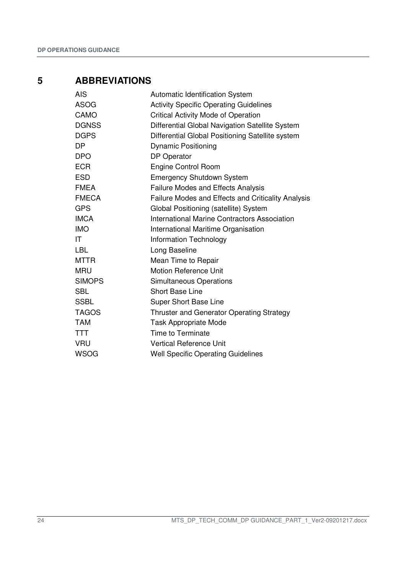## **5 ABBREVIATIONS**

| <b>AIS</b>    | <b>Automatic Identification System</b>                    |
|---------------|-----------------------------------------------------------|
| <b>ASOG</b>   | <b>Activity Specific Operating Guidelines</b>             |
| CAMO          | <b>Critical Activity Mode of Operation</b>                |
| <b>DGNSS</b>  | Differential Global Navigation Satellite System           |
| <b>DGPS</b>   | Differential Global Positioning Satellite system          |
| DP            | <b>Dynamic Positioning</b>                                |
| <b>DPO</b>    | <b>DP</b> Operator                                        |
| <b>ECR</b>    | Engine Control Room                                       |
| <b>ESD</b>    | <b>Emergency Shutdown System</b>                          |
| <b>FMEA</b>   | <b>Failure Modes and Effects Analysis</b>                 |
| <b>FMECA</b>  | <b>Failure Modes and Effects and Criticality Analysis</b> |
| <b>GPS</b>    | Global Positioning (satellite) System                     |
| <b>IMCA</b>   | <b>International Marine Contractors Association</b>       |
| <b>IMO</b>    | International Maritime Organisation                       |
| ΙT            | <b>Information Technology</b>                             |
| <b>LBL</b>    | Long Baseline                                             |
| <b>MTTR</b>   | Mean Time to Repair                                       |
| <b>MRU</b>    | <b>Motion Reference Unit</b>                              |
| <b>SIMOPS</b> | <b>Simultaneous Operations</b>                            |
| <b>SBL</b>    | <b>Short Base Line</b>                                    |
| <b>SSBL</b>   | Super Short Base Line                                     |
| <b>TAGOS</b>  | <b>Thruster and Generator Operating Strategy</b>          |
| <b>TAM</b>    | <b>Task Appropriate Mode</b>                              |
| <b>TTT</b>    | <b>Time to Terminate</b>                                  |
| <b>VRU</b>    | Vertical Reference Unit                                   |
| <b>WSOG</b>   | <b>Well Specific Operating Guidelines</b>                 |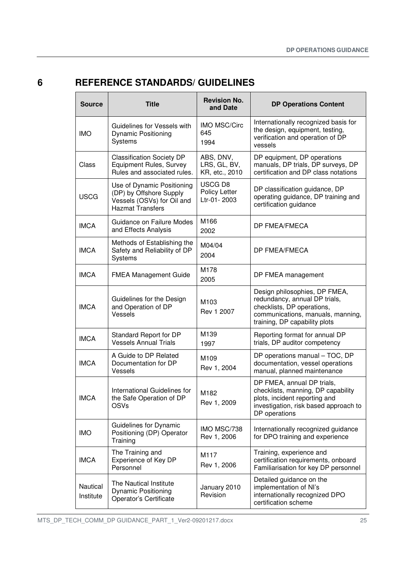# **6 REFERENCE STANDARDS/ GUIDELINES**

| <b>Source</b>         | <b>Title</b>                                                                                                   | <b>Revision No.</b><br>and Date             | <b>DP Operations Content</b>                                                                                                                                       |
|-----------------------|----------------------------------------------------------------------------------------------------------------|---------------------------------------------|--------------------------------------------------------------------------------------------------------------------------------------------------------------------|
| <b>IMO</b>            | Guidelines for Vessels with<br><b>Dynamic Positioning</b><br>Systems                                           | <b>IMO MSC/Circ</b><br>645<br>1994          | Internationally recognized basis for<br>the design, equipment, testing,<br>verification and operation of DP<br>vessels                                             |
| Class                 | <b>Classification Society DP</b><br>Equipment Rules, Survey<br>Rules and associated rules.                     | ABS, DNV,<br>LRS, GL, BV,<br>KR, etc., 2010 | DP equipment, DP operations<br>manuals, DP trials, DP surveys, DP<br>certification and DP class notations                                                          |
| <b>USCG</b>           | Use of Dynamic Positioning<br>(DP) by Offshore Supply<br>Vessels (OSVs) for Oil and<br><b>Hazmat Transfers</b> | USCG D8<br>Policy Letter<br>Ltr-01-2003     | DP classification guidance, DP<br>operating guidance, DP training and<br>certification guidance                                                                    |
| <b>IMCA</b>           | Guidance on Failure Modes<br>and Effects Analysis                                                              | M166<br>2002                                | DP FMEA/FMECA                                                                                                                                                      |
| <b>IMCA</b>           | Methods of Establishing the<br>Safety and Reliability of DP<br>Systems                                         | M04/04<br>2004                              | DP FMEA/FMECA                                                                                                                                                      |
| <b>IMCA</b>           | <b>FMEA Management Guide</b>                                                                                   | M178<br>2005                                | DP FMEA management                                                                                                                                                 |
| <b>IMCA</b>           | Guidelines for the Design<br>and Operation of DP<br><b>Vessels</b>                                             | M <sub>103</sub><br>Rev 1 2007              | Design philosophies, DP FMEA,<br>redundancy, annual DP trials,<br>checklists, DP operations,<br>communications, manuals, manning,<br>training, DP capability plots |
| <b>IMCA</b>           | Standard Report for DP<br><b>Vessels Annual Trials</b>                                                         | M139<br>1997                                | Reporting format for annual DP<br>trials, DP auditor competency                                                                                                    |
| <b>IMCA</b>           | A Guide to DP Related<br>Documentation for DP<br>Vessels                                                       | M109<br>Rev 1, 2004                         | DP operations manual - TOC, DP<br>documentation, vessel operations<br>manual, planned maintenance                                                                  |
| <b>IMCA</b>           | International Guidelines for<br>the Safe Operation of DP<br><b>OSVs</b>                                        | M182<br>Rev 1, 2009                         | DP FMEA, annual DP trials,<br>checklists, manning, DP capability<br>plots, incident reporting and<br>investigation, risk based approach to<br>DP operations        |
| <b>IMO</b>            | Guidelines for Dynamic<br>Positioning (DP) Operator<br>Training                                                | IMO MSC/738<br>Rev 1, 2006                  | Internationally recognized guidance<br>for DPO training and experience                                                                                             |
| <b>IMCA</b>           | The Training and<br>Experience of Key DP<br>Personnel                                                          | M117<br>Rev 1, 2006                         | Training, experience and<br>certification requirements, onboard<br>Familiarisation for key DP personnel                                                            |
| Nautical<br>Institute | The Nautical Institute<br><b>Dynamic Positioning</b><br>Operator's Certificate                                 | January 2010<br>Revision                    | Detailed guidance on the<br>implementation of NI's<br>internationally recognized DPO<br>certification scheme                                                       |